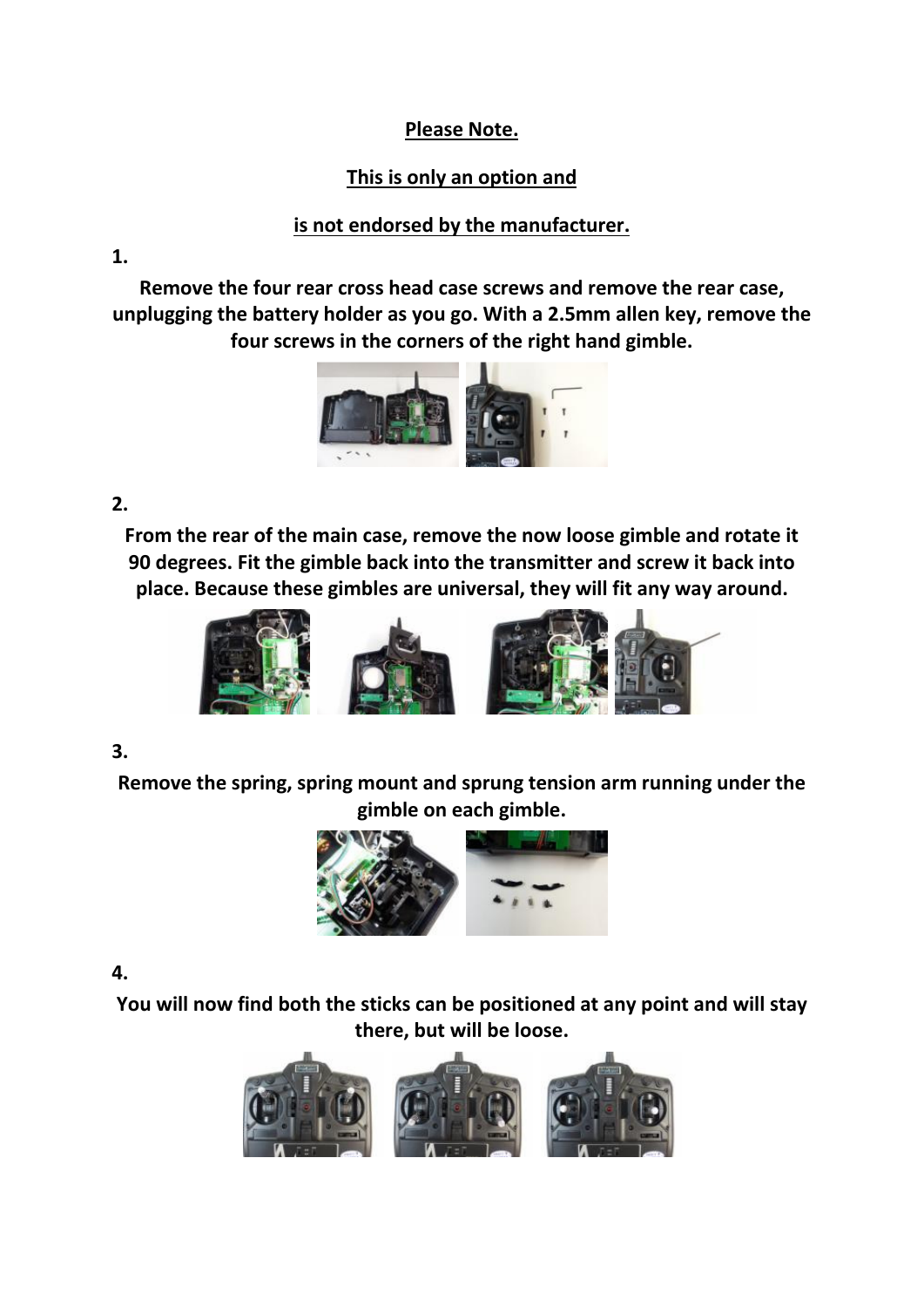### **Please Note.**

## **This is only an option and**

## **is not endorsed by the manufacturer.**

**1.** 

**Remove the four rear cross head case screws and remove the rear case, unplugging the battery holder as you go. With a 2.5mm allen key, remove the four screws in the corners of the right hand gimble.**



#### **2.**

**From the rear of the main case, remove the now loose gimble and rotate it 90 degrees. Fit the gimble back into the transmitter and screw it back into place. Because these gimbles are universal, they will fit any way around.**



#### **3.**

**Remove the spring, spring mount and sprung tension arm running under the gimble on each gimble.**



#### **4.**

**You will now find both the sticks can be positioned at any point and will stay there, but will be loose.**

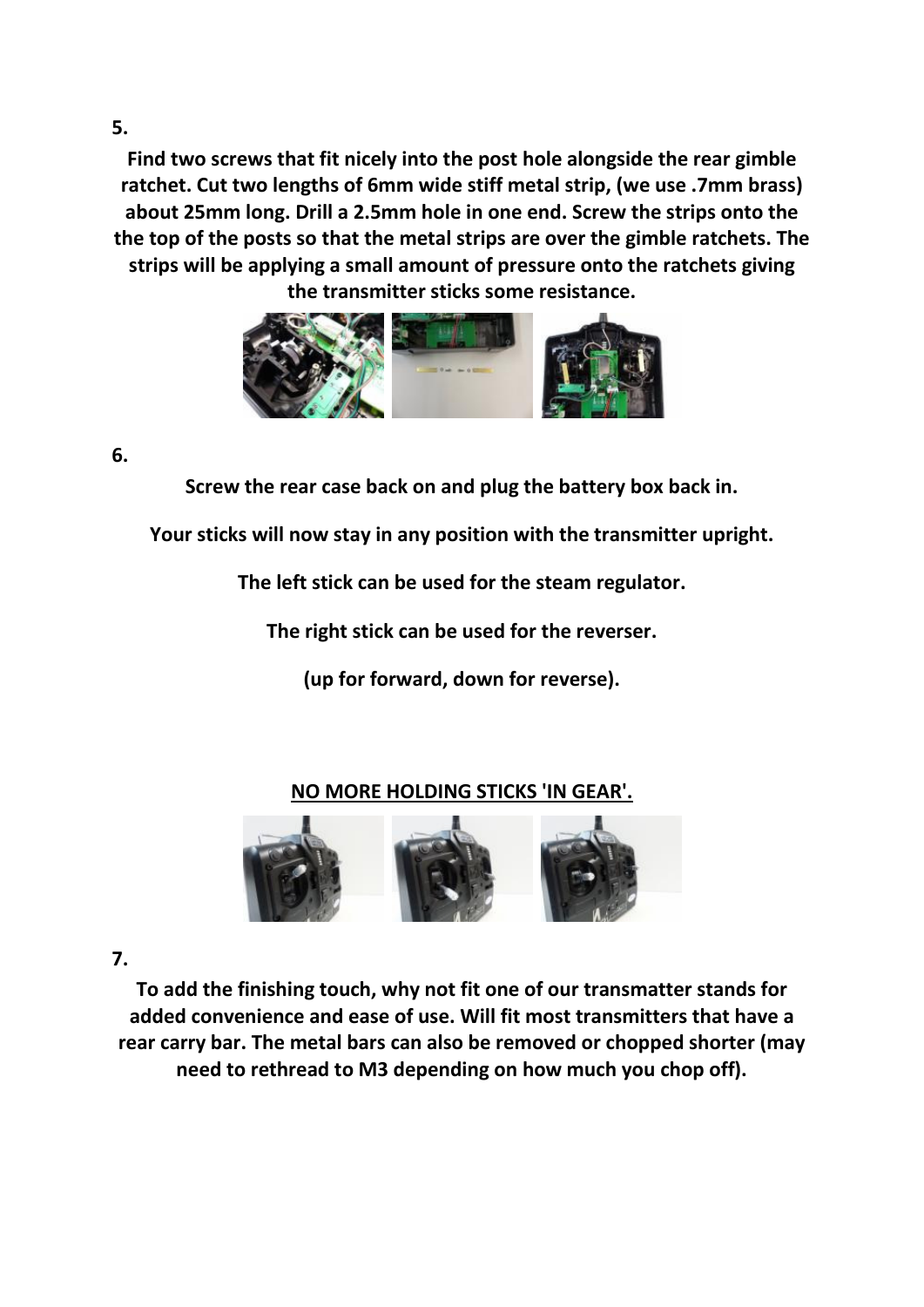**Find two screws that fit nicely into the post hole alongside the rear gimble ratchet. Cut two lengths of 6mm wide stiff metal strip, (we use .7mm brass) about 25mm long. Drill a 2.5mm hole in one end. Screw the strips onto the the top of the posts so that the metal strips are over the gimble ratchets. The strips will be applying a small amount of pressure onto the ratchets giving the transmitter sticks some resistance.**



**6.** 

**Screw the rear case back on and plug the battery box back in.** 

**Your sticks will now stay in any position with the transmitter upright.**

**The left stick can be used for the steam regulator.**

**The right stick can be used for the reverser.** 

**(up for forward, down for reverse).**

# **NO MORE HOLDING STICKS 'IN GEAR'.**



**7.** 

**To add the finishing touch, why not fit one of our transmatter stands for added convenience and ease of use. Will fit most transmitters that have a rear carry bar. The metal bars can also be removed or chopped shorter (may need to rethread to M3 depending on how much you chop off).**